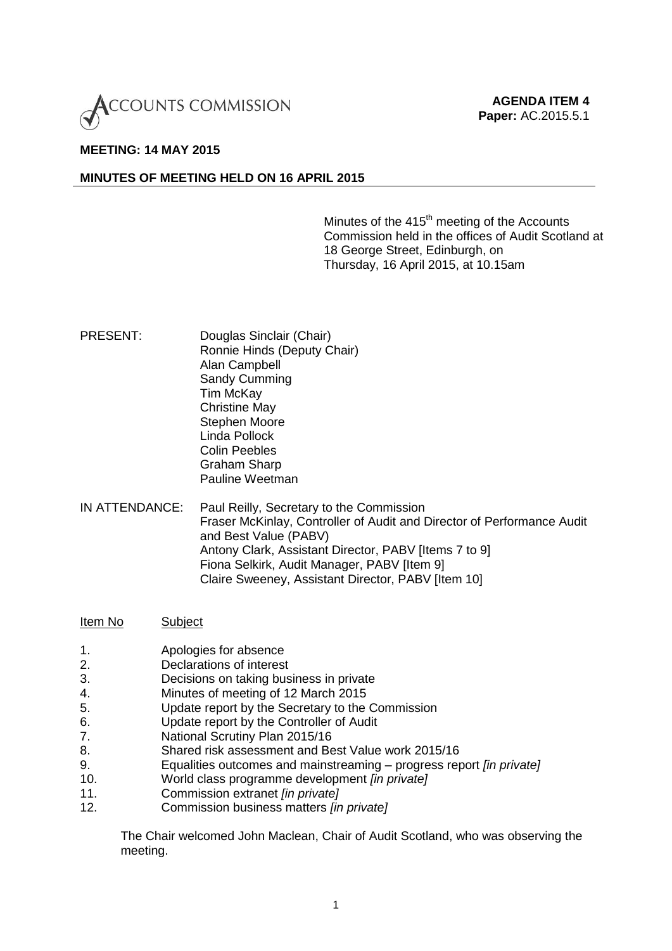

## **MEETING: 14 MAY 2015**

## **MINUTES OF MEETING HELD ON 16 APRIL 2015**

Minutes of the 415<sup>th</sup> meeting of the Accounts Commission held in the offices of Audit Scotland at 18 George Street, Edinburgh, on Thursday, 16 April 2015, at 10.15am

PRESENT: Douglas Sinclair (Chair) Ronnie Hinds (Deputy Chair) Alan Campbell Sandy Cumming Tim McKay Christine May Stephen Moore Linda Pollock Colin Peebles Graham Sharp Pauline Weetman

IN ATTENDANCE: Paul Reilly, Secretary to the Commission Fraser McKinlay, Controller of Audit and Director of Performance Audit and Best Value (PABV) Antony Clark, Assistant Director, PABV [Items 7 to 9] Fiona Selkirk, Audit Manager, PABV [Item 9] Claire Sweeney, Assistant Director, PABV [Item 10]

Item No Subject

- 1. Apologies for absence
- 2. Declarations of interest
- 3. Decisions on taking business in private
- 4. Minutes of meeting of 12 March 2015
- 5. Update report by the Secretary to the Commission
- 6. Update report by the Controller of Audit
- 7. National Scrutiny Plan 2015/16
- 8. Shared risk assessment and Best Value work 2015/16
- 9. Equalities outcomes and mainstreaming progress report *[in private]*
- 10. World class programme development *[in private]*
- 11. Commission extranet *[in private]*
- 12. Commission business matters *[in private]*

The Chair welcomed John Maclean, Chair of Audit Scotland, who was observing the meeting.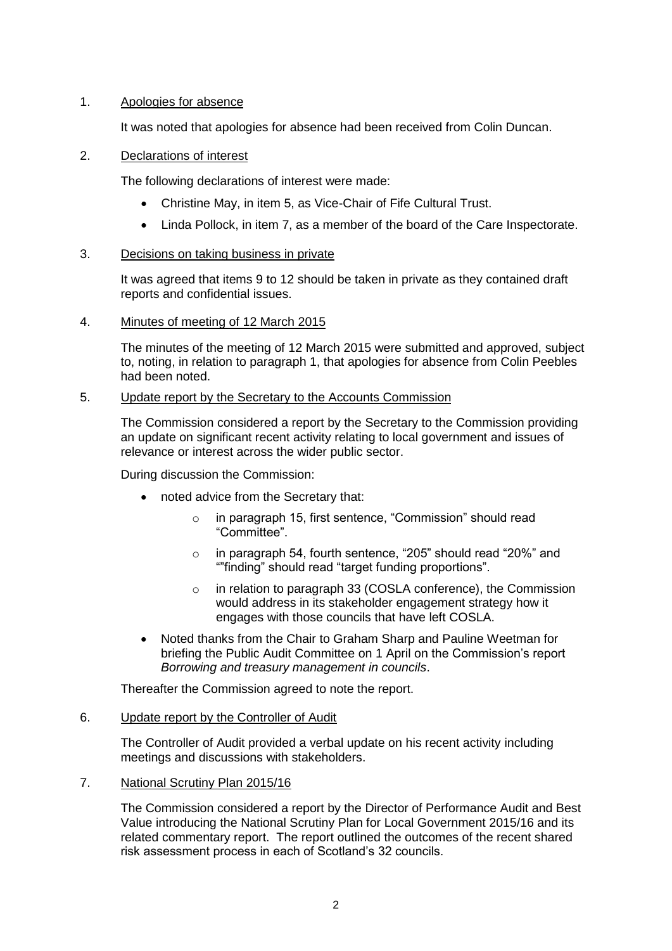# 1. Apologies for absence

It was noted that apologies for absence had been received from Colin Duncan.

# 2. Declarations of interest

The following declarations of interest were made:

- Christine May, in item 5, as Vice-Chair of Fife Cultural Trust.
- Linda Pollock, in item 7, as a member of the board of the Care Inspectorate.

# 3. Decisions on taking business in private

It was agreed that items 9 to 12 should be taken in private as they contained draft reports and confidential issues.

4. Minutes of meeting of 12 March 2015

The minutes of the meeting of 12 March 2015 were submitted and approved, subject to, noting, in relation to paragraph 1, that apologies for absence from Colin Peebles had been noted.

# 5. Update report by the Secretary to the Accounts Commission

The Commission considered a report by the Secretary to the Commission providing an update on significant recent activity relating to local government and issues of relevance or interest across the wider public sector.

During discussion the Commission:

- noted advice from the Secretary that:
	- o in paragraph 15, first sentence, "Commission" should read "Committee".
	- o in paragraph 54, fourth sentence, "205" should read "20%" and ""finding" should read "target funding proportions".
	- o in relation to paragraph 33 (COSLA conference), the Commission would address in its stakeholder engagement strategy how it engages with those councils that have left COSLA.
- Noted thanks from the Chair to Graham Sharp and Pauline Weetman for briefing the Public Audit Committee on 1 April on the Commission's report *Borrowing and treasury management in councils*.

Thereafter the Commission agreed to note the report.

# 6. Update report by the Controller of Audit

The Controller of Audit provided a verbal update on his recent activity including meetings and discussions with stakeholders.

# 7. National Scrutiny Plan 2015/16

The Commission considered a report by the Director of Performance Audit and Best Value introducing the National Scrutiny Plan for Local Government 2015/16 and its related commentary report. The report outlined the outcomes of the recent shared risk assessment process in each of Scotland's 32 councils.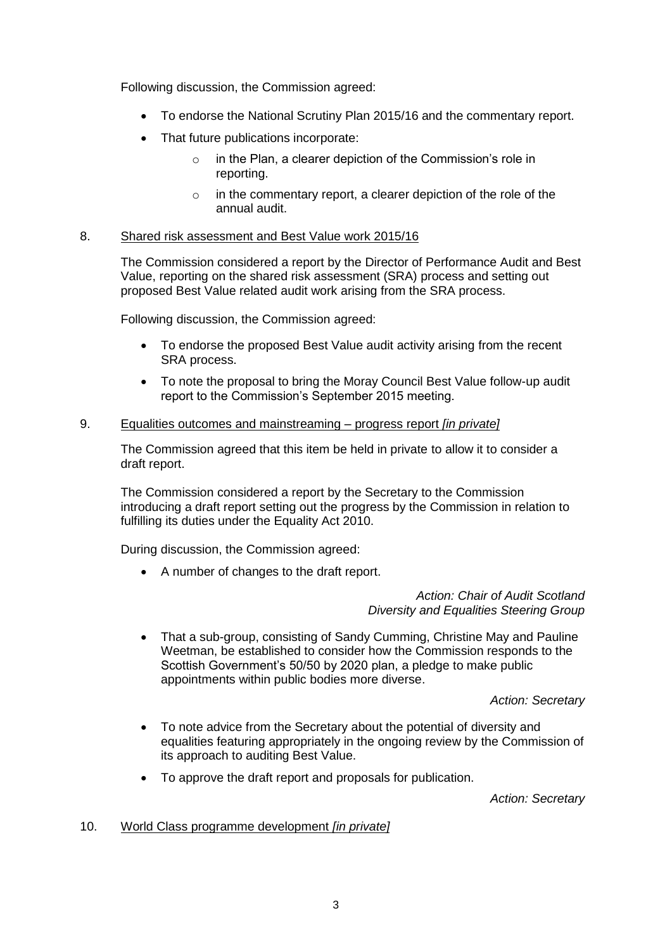Following discussion, the Commission agreed:

- To endorse the National Scrutiny Plan 2015/16 and the commentary report.
- That future publications incorporate:
	- $\circ$  in the Plan, a clearer depiction of the Commission's role in reporting.
	- o in the commentary report, a clearer depiction of the role of the annual audit.

### 8. Shared risk assessment and Best Value work 2015/16

The Commission considered a report by the Director of Performance Audit and Best Value, reporting on the shared risk assessment (SRA) process and setting out proposed Best Value related audit work arising from the SRA process.

Following discussion, the Commission agreed:

- To endorse the proposed Best Value audit activity arising from the recent SRA process.
- To note the proposal to bring the Moray Council Best Value follow-up audit report to the Commission's September 2015 meeting.

### 9. Equalities outcomes and mainstreaming – progress report *[in private]*

The Commission agreed that this item be held in private to allow it to consider a draft report.

The Commission considered a report by the Secretary to the Commission introducing a draft report setting out the progress by the Commission in relation to fulfilling its duties under the Equality Act 2010.

During discussion, the Commission agreed:

A number of changes to the draft report.

*Action: Chair of Audit Scotland Diversity and Equalities Steering Group*

 That a sub-group, consisting of Sandy Cumming, Christine May and Pauline Weetman, be established to consider how the Commission responds to the Scottish Government's 50/50 by 2020 plan, a pledge to make public appointments within public bodies more diverse.

*Action: Secretary*

- To note advice from the Secretary about the potential of diversity and equalities featuring appropriately in the ongoing review by the Commission of its approach to auditing Best Value.
- To approve the draft report and proposals for publication.

*Action: Secretary*

### 10. World Class programme development *[in private]*